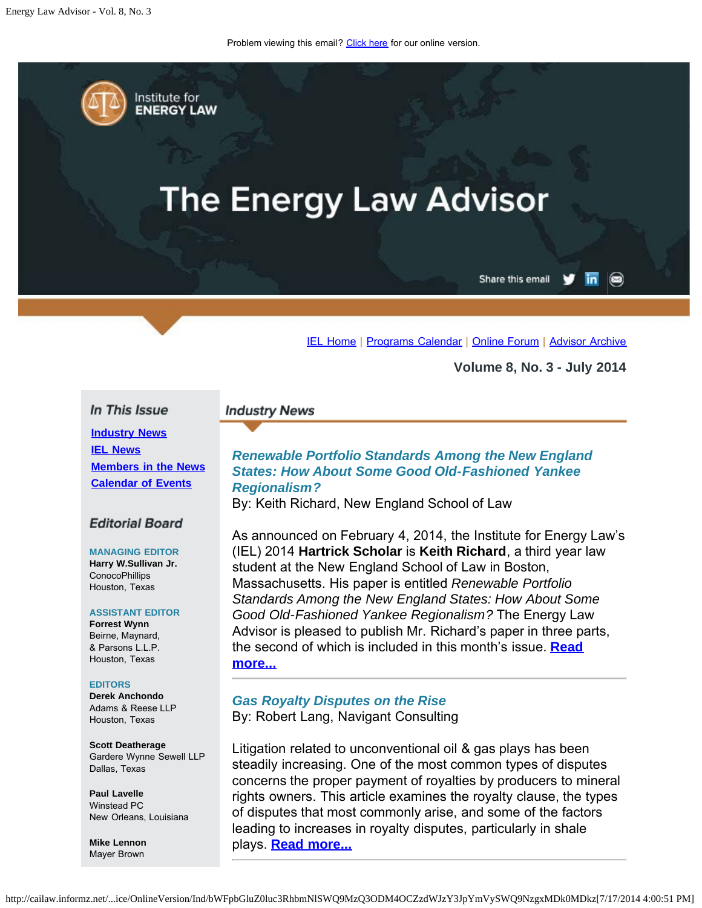Problem viewing this email? [Click here](#page-0-0) for our online version.

<span id="page-0-0"></span>Institute for **ENERGY LAW** 

# **The Energy Law Advisor**

Share this email in  $\circledcirc$ 

[IEL Home](http://www.cailaw.org/institute-for-energy-law/index.html?utm_source=Informz&utm_medium=Email&utm_campaign=Event+Details) | [Programs Calendar](http://www.cailaw.org/institute-for-energy-law/programs-calendar.html?utm_source=Informz&utm_medium=Email&utm_campaign=Event+Details) | [Online Forum](http://www.linkedin.com/groups?homeNewMember=&gid=2370373&trk=&ut=0XojoQQoYP6ls1) | [Advisor Archive](http://www.cailaw.org/institute-for-energy-law/publications/energy-law-advisor.html?utm_source=Informz&utm_medium=Email&utm_campaign=Event+Details)

**Volume 8, No. 3 - July 2014**

#### In This Issue

**[Industry News](#page-0-0) [IEL News](#page-0-0) [Members in the News](#page-0-0) [Calendar of Events](#page-0-0)**

#### **Editorial Board**

# **MANAGING EDITOR**

**Harry W.Sullivan Jr. ConocoPhillips** Houston, Texas

#### **ASSISTANT EDITOR**

**Forrest Wynn** Beirne, Maynard, & Parsons L.L.P. Houston, Texas

#### **EDITORS**

**Derek Anchondo** Adams & Reese LLP Houston, Texas

**Scott Deatherage** Gardere Wynne Sewell LLP Dallas, Texas

**Paul Lavelle** Winstead PC New Orleans, Louisiana

**Mike Lennon** Mayer Brown

#### **Industry News**

# *Renewable Portfolio Standards Among the New England States: How About Some Good Old-Fashioned Yankee Regionalism?*

By: Keith Richard, New England School of Law

As announced on February 4, 2014, the Institute for Energy Law's (IEL) 2014 **Hartrick Scholar** is **Keith Richard**, a third year law student at the New England School of Law in Boston, Massachusetts. His paper is entitled *Renewable Portfolio Standards Among the New England States: How About Some Good Old-Fashioned Yankee Regionalism?* The Energy Law Advisor is pleased to publish Mr. Richard's paper in three parts, the second of which is included in this month's issue. **[Read](http://www.cailaw.org/media/files/IEL/Publications/2014/ela-renewable-portfolio-vol8-no3.pdf) [more...](http://www.cailaw.org/media/files/IEL/Publications/2014/ela-renewable-portfolio-vol8-no3.pdf)**

*Gas Royalty Disputes on the Rise* By: Robert Lang, Navigant Consulting

Litigation related to unconventional oil & gas plays has been steadily increasing. One of the most common types of disputes concerns the proper payment of royalties by producers to mineral rights owners. This article examines the royalty clause, the types of disputes that most commonly arise, and some of the factors leading to increases in royalty disputes, particularly in shale plays. **[Read more...](http://www.cailaw.org/media/files/IEL/Publications/2014/ela-gas-royalty-vol8-no3.pdf)**

http://cailaw.informz.net/...ice/OnlineVersion/Ind/bWFpbGluZ0luc3RhbmNlSWQ9MzQ3ODM4OCZzdWJzY3JpYmVySWQ9NzgxMDk0MDkz[7/17/2014 4:00:51 PM]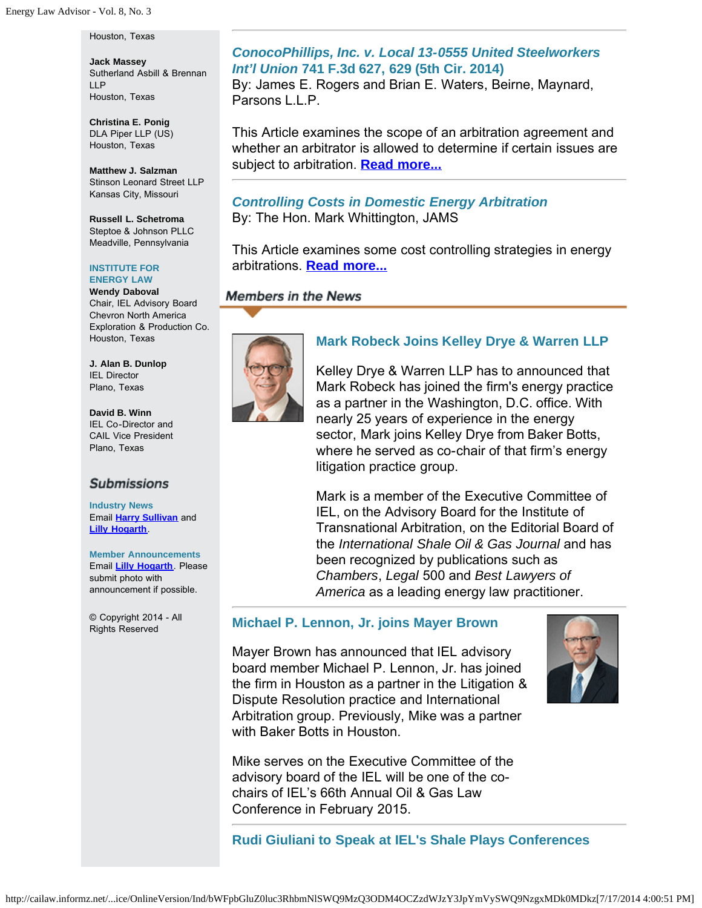Houston, Texas

**Jack Massey** Sutherland Asbill & Brennan LLP Houston, Texas

**Christina E. Ponig** DLA Piper LLP (US) Houston, Texas

**Matthew J. Salzman** Stinson Leonard Street LLP Kansas City, Missouri

**Russell L. Schetroma** Steptoe & Johnson PLLC Meadville, Pennsylvania

#### **INSTITUTE FOR ENERGY LAW**

**Wendy Daboval** Chair, IEL Advisory Board Chevron North America Exploration & Production Co. Houston, Texas

**J. Alan B. Dunlop** IEL Director Plano, Texas

**David B. Winn** IEL Co-Director and CAIL Vice President Plano, Texas

## **Submissions**

**Industry News** Email **[Harry Sullivan](mailto:harry.w.sullivan@conocophillips.com)** and **[Lilly Hogarth](mailto:lhogarth@cailaw.org)**.

**Member Announcements** Email **[Lilly Hogarth](mailto:lhogarth@cailaw.org)**. Please submit photo with announcement if possible.

© Copyright 2014 - All Rights Reserved

#### *ConocoPhillips, Inc. v. Local 13-0555 United Steelworkers Int'l Union* **741 F.3d 627, 629 (5th Cir. 2014)**

By: James E. Rogers and Brian E. Waters, Beirne, Maynard, Parsons L.L.P.

This Article examines the scope of an arbitration agreement and whether an arbitrator is allowed to determine if certain issues are subject to arbitration. **[Read more...](http://cailaw.informz.net/admin31/content/template.asp?sid=35554&ptid=799&brandid=3434&uid=781094093&mi=3478388&ps=35554)**

# *Controlling Costs in Domestic Energy Arbitration*

By: The Hon. Mark Whittington, JAMS

This Article examines some cost controlling strategies in energy arbitrations. **[Read more...](http://www.cailaw.org/media/files/IEL/Publications/2014/ela-controlling-costs-vol8-no3.pdf)**

## **Members in the News**



# **Mark Robeck Joins Kelley Drye & Warren LLP**

Kelley Drye & Warren LLP has to announced that Mark Robeck has joined the firm's energy practice as a partner in the Washington, D.C. office. With nearly 25 years of experience in the energy sector, Mark joins Kelley Drye from Baker Botts, where he served as co-chair of that firm's energy litigation practice group.

Mark is a member of the Executive Committee of IEL, on the Advisory Board for the Institute of Transnational Arbitration, on the Editorial Board of the *International Shale Oil & Gas Journal* and has been recognized by publications such as *Chambers*, *Legal* 500 and *Best Lawyers of America* as a leading energy law practitioner.

#### **Michael P. Lennon, Jr. joins Mayer Brown**

Mayer Brown has announced that IEL advisory board member Michael P. Lennon, Jr. has joined the firm in Houston as a partner in the Litigation & Dispute Resolution practice and International Arbitration group. Previously, Mike was a partner with Baker Botts in Houston.



**Rudi Giuliani to Speak at IEL's Shale Plays Conferences**

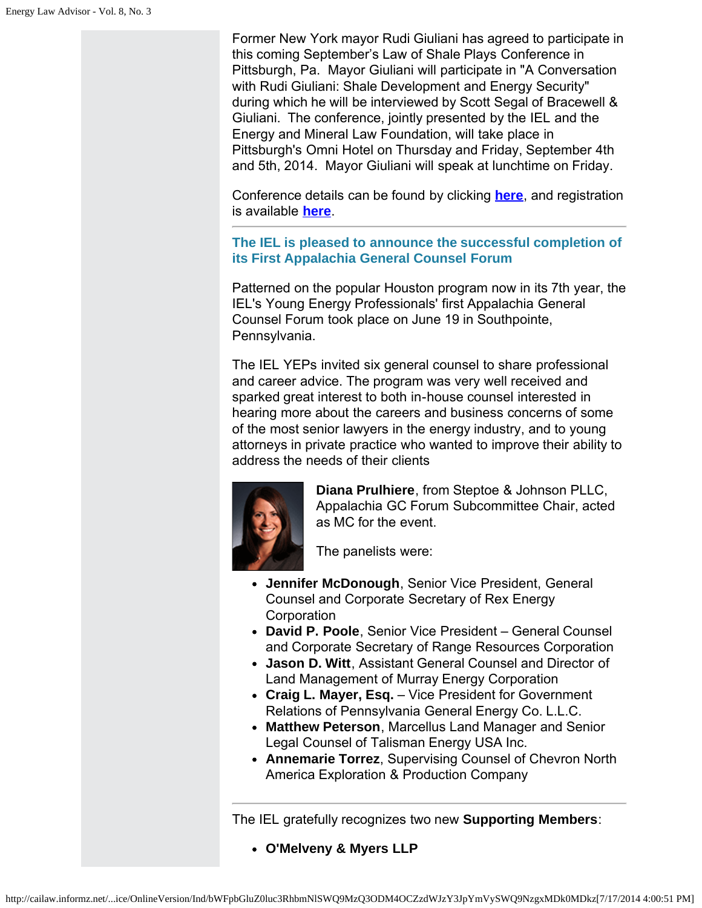Former New York mayor Rudi Giuliani has agreed to participate in this coming September's Law of Shale Plays Conference in Pittsburgh, Pa. Mayor Giuliani will participate in "A Conversation with Rudi Giuliani: Shale Development and Energy Security" during which he will be interviewed by Scott Segal of Bracewell & Giuliani. The conference, jointly presented by the IEL and the Energy and Mineral Law Foundation, will take place in Pittsburgh's Omni Hotel on Thursday and Friday, September 4th and 5th, 2014. Mayor Giuliani will speak at lunchtime on Friday.

Conference details can be found by clicking **[here](http://www.cailaw.org/institute-for-energy-law/events/2014/law-of-shale-plays.html?utm_source=Informz&utm_medium=Email&utm_campaign=Event+Details)**, and registration is available **[here](http://www.cailaw.org/eventRegistration.html?e=950&utm_source=Informz&utm_medium=Email&utm_campaign=Event+Details)**.

**The IEL is pleased to announce the successful completion of its First Appalachia General Counsel Forum**

Patterned on the popular Houston program now in its 7th year, the IEL's Young Energy Professionals' first Appalachia General Counsel Forum took place on June 19 in Southpointe, Pennsylvania.

The IEL YEPs invited six general counsel to share professional and career advice. The program was very well received and sparked great interest to both in-house counsel interested in hearing more about the careers and business concerns of some of the most senior lawyers in the energy industry, and to young attorneys in private practice who wanted to improve their ability to address the needs of their clients



**Diana Prulhiere**, from Steptoe & Johnson PLLC, Appalachia GC Forum Subcommittee Chair, acted as MC for the event.

The panelists were:

- **Jennifer McDonough**, Senior Vice President, General Counsel and Corporate Secretary of Rex Energy **Corporation**
- **David P. Poole**, Senior Vice President General Counsel and Corporate Secretary of Range Resources Corporation
- **Jason D. Witt**, Assistant General Counsel and Director of Land Management of Murray Energy Corporation
- **Craig L. Mayer, Esq.** Vice President for Government Relations of Pennsylvania General Energy Co. L.L.C.
- **Matthew Peterson**, Marcellus Land Manager and Senior Legal Counsel of Talisman Energy USA Inc.
- **Annemarie Torrez**, Supervising Counsel of Chevron North America Exploration & Production Company

The IEL gratefully recognizes two new **Supporting Members**:

**O'Melveny & Myers LLP**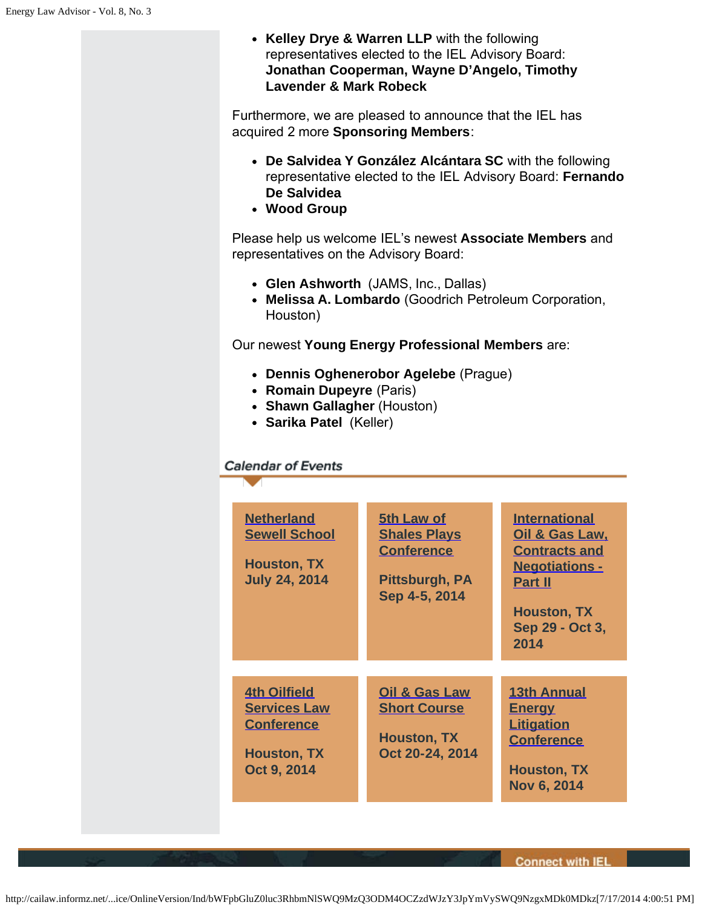**Kelley Drye & Warren LLP** with the following representatives elected to the IEL Advisory Board: **Jonathan Cooperman, Wayne D'Angelo, Timothy Lavender & Mark Robeck**

Furthermore, we are pleased to announce that the IEL has acquired 2 more **Sponsoring Members**:

- **De Salvidea Y González Alcántara SC** with the following representative elected to the IEL Advisory Board: **Fernando De Salvidea**
- **Wood Group**

Please help us welcome IEL's newest **Associate Members** and representatives on the Advisory Board:

- **Glen Ashworth** (JAMS, Inc., Dallas)
- **Melissa A. Lombardo** (Goodrich Petroleum Corporation, Houston)

Our newest **Young Energy Professional Members** are:

- **Dennis Oghenerobor Agelebe** (Prague)
- **Romain Dupeyre** (Paris)
- **Shawn Gallagher** (Houston)
- **Sarika Patel** (Keller)

#### **Calendar of Events**

| <b>Netherland</b><br><b>Sewell School</b><br><b>Houston, TX</b><br><b>July 24, 2014</b>              | 5th Law of<br><b>Shales Plays</b><br><b>Conference</b><br>Pittsburgh, PA<br>Sep 4-5, 2014 | <b>International</b><br><u>Oil &amp; Gas Law,</u><br><b>Contracts and</b><br><b>Negotiations -</b><br><b>Part II</b><br><b>Houston, TX</b><br>Sep 29 - Oct 3,<br>2014 |
|------------------------------------------------------------------------------------------------------|-------------------------------------------------------------------------------------------|-----------------------------------------------------------------------------------------------------------------------------------------------------------------------|
| <b>4th Oilfield</b><br><b>Services Law</b><br><b>Conference</b><br><b>Houston, TX</b><br>Oct 9, 2014 | <b>Oil &amp; Gas Law</b><br><b>Short Course</b><br><b>Houston, TX</b><br>Oct 20-24, 2014  | <b>13th Annual</b><br><b>Energy</b><br><b>Litigation</b><br><b>Conference</b><br><b>Houston, TX</b><br>Nov 6, 2014                                                    |

**Connect with IEL**